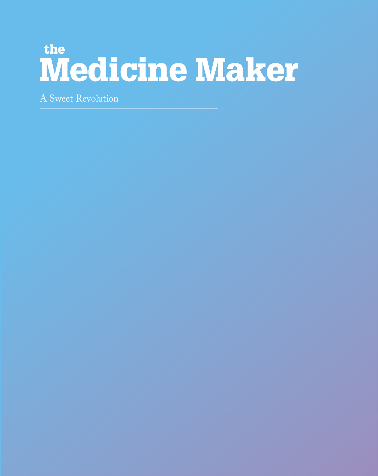## the **Medicine Maker**

A Sweet Revolution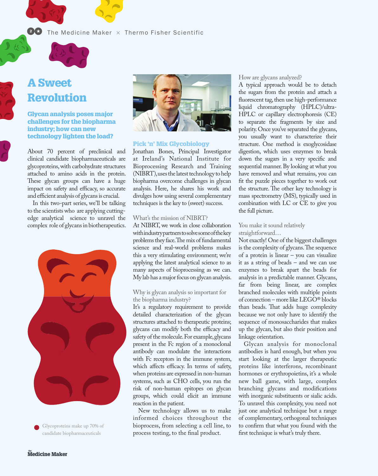#### $\bullet$  The Medicine Maker  $\times$  Thermo Fisher Scientific



# A Sweet

## Revolution

Glycan analysis poses major challenges for the biopharma industry; how can new technology lighten the load?

About 70 percent of preclinical and clinical candidate biopharmaceuticals are glycoproteins, with carbohydrate structures attached to amino acids in the protein. These glycan groups can have a huge impact on safety and efficacy, so accurate and efficient analysis of glycans is crucial.

In this two-part series, we'll be talking to the scientists who are applying cuttingedge analytical science to unravel the complex role of glycans in biotherapeutics.



Glycoproteins make up 70% of candidate biopharmaceuticals



#### Pick 'n' Mix Glycobiology

Jonathan Bones, Principal Investigator at Ireland's National Institute for Bioprocessing Research and Training (NIBRT), uses the latest technology to help biopharma overcome challenges in glycan analysis. Here, he shares his work and divulges how using several complementary techniques is the key to (sweet) success.

#### What's the mission of NIBRT?

At NIBRT, we work in close collaboration with industry partners to solve some of the key problems they face. The mix of fundamental science and real-world problems makes this a very stimulating environment; we're applying the latest analytical science to as many aspects of bioprocessing as we can. My lab has a major focus on glycan analysis.

#### Why is glycan analysis so important for the biopharma industry?

It's a regulatory requirement to provide detailed characterization of the glycan structures attached to therapeutic proteins; glycans can modify both the efficacy and safety of the molecule. For example, glycans present in the Fc region of a monoclonal antibody can modulate the interactions with Fc receptors in the immune system, which affects efficacy. In terms of safety, when proteins are expressed in non-human systems, such as CHO cells, you run the risk of non-human epitopes on glycan groups, which could elicit an immune reaction in the patient.

New technology allows us to make informed choices throughout the bioprocess, from selecting a cell line, to process testing, to the final product.

#### How are glycans analyzed?

A typical approach would be to detach the sugars from the protein and attach a fluorescent tag, then use high-performance liquid chromatography (HPLC)/ultra-HPLC or capillary electrophoresis (CE) to separate the fragments by size and polarity. Once you've separated the glycans, you usually want to characterize their structure. One method is exoglycosidase digestion, which uses enzymes to break down the sugars in a very specific and sequential manner. By looking at what you have removed and what remains, you can fit the puzzle pieces together to work out the structure. The other key technology is mass spectrometry (MS), typically used in combination with LC or CE to give you the full picture.

#### You make it sound relatively straightforward…

Not exactly! One of the biggest challenges is the complexity of glycans. The sequence of a protein is linear – you can visualize it as a string of beads – and we can use enzymes to break apart the beads for analysis in a predictable manner. Glycans, far from being linear, are complex branched molecules with multiple points of connection – more like LEGO® blocks than beads. That adds huge complexity because we not only have to identify the sequence of monosaccharides that makes up the glycan, but also their position and linkage orientation.

Glycan analysis for monoclonal antibodies is hard enough, but when you start looking at the larger therapeutic proteins like interferons, recombinant hormones or erythropoietins, it's a whole new ball game, with large, complex branching glycans and modifications with inorganic substituents or sialic acids. To unravel this complexity, you need not just one analytical technique but a range of complementary, orthogonal techniques to confirm that what you found with the first technique is what's truly there.